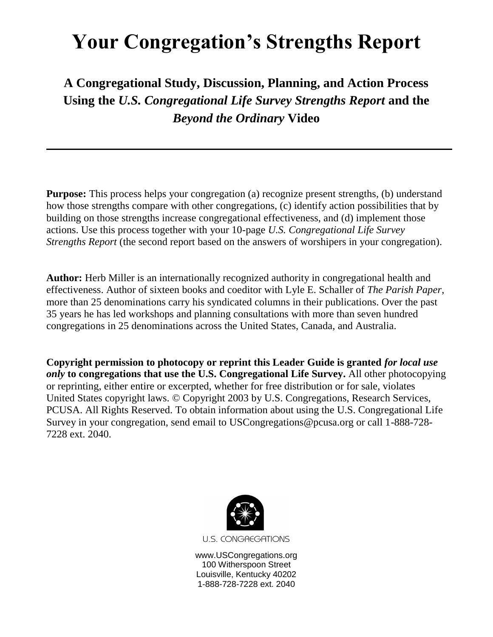# **Your Congregation's Strengths Report**

# **A Congregational Study, Discussion, Planning, and Action Process Using the** *U.S. Congregational Life Survey Strengths Report* **and the**  *Beyond the Ordinary* **Video**

**Purpose:** This process helps your congregation (a) recognize present strengths, (b) understand how those strengths compare with other congregations, (c) identify action possibilities that by building on those strengths increase congregational effectiveness, and (d) implement those actions. Use this process together with your 10-page *U.S. Congregational Life Survey Strengths Report* (the second report based on the answers of worshipers in your congregation).

**Author:** Herb Miller is an internationally recognized authority in congregational health and effectiveness. Author of sixteen books and coeditor with Lyle E. Schaller of *The Parish Paper*, more than 25 denominations carry his syndicated columns in their publications. Over the past 35 years he has led workshops and planning consultations with more than seven hundred congregations in 25 denominations across the United States, Canada, and Australia.

**Copyright permission to photocopy or reprint this Leader Guide is granted** *for local use only* **to congregations that use the U.S. Congregational Life Survey.** All other photocopying or reprinting, either entire or excerpted, whether for free distribution or for sale, violates United States copyright laws. © Copyright 2003 by U.S. Congregations, Research Services, PCUSA. All Rights Reserved. To obtain information about using the U.S. Congregational Life Survey in your congregation, send email to USCongregations@pcusa.org or call 1-888-728- 7228 ext. 2040.



**U.S. CONGREGATIONS** 

www.USCongregations.org 100 Witherspoon Street Louisville, Kentucky 40202 1-888-728-7228 ext. 2040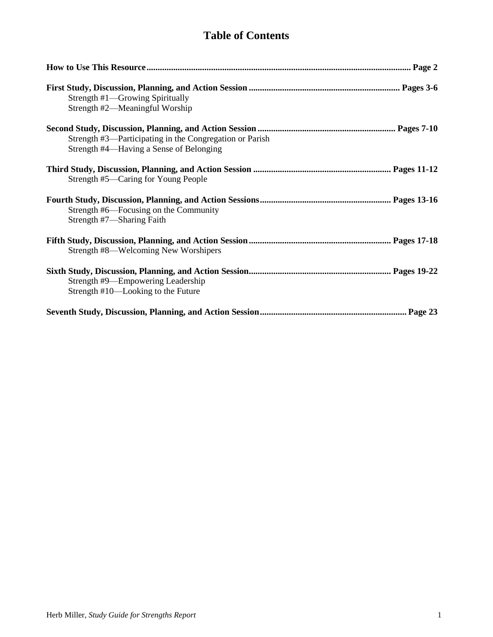# **Table of Contents**

| Strength #1—Growing Spiritually<br>Strength #2—Meaningful Worship                                  |
|----------------------------------------------------------------------------------------------------|
| Strength #3—Participating in the Congregation or Parish<br>Strength #4—Having a Sense of Belonging |
| Strength #5—Caring for Young People                                                                |
| Strength #6—Focusing on the Community<br>Strength #7—Sharing Faith                                 |
| Strength #8—Welcoming New Worshipers                                                               |
| Strength #9-Empowering Leadership<br>Strength #10—Looking to the Future                            |
|                                                                                                    |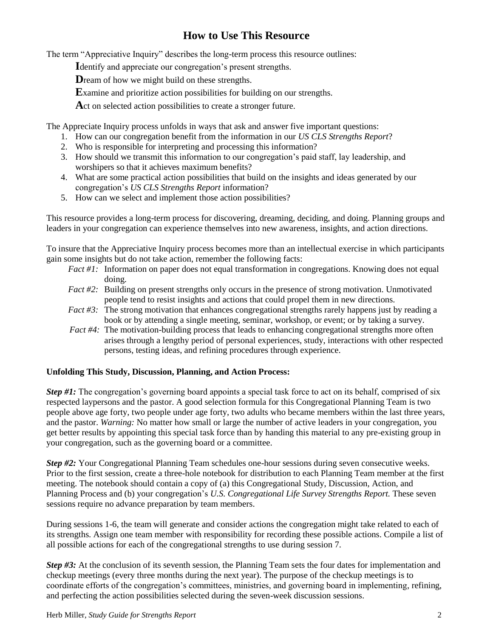# **How to Use This Resource**

The term "Appreciative Inquiry" describes the long-term process this resource outlines:

**I**dentify and appreciate our congregation's present strengths.

**D**ream of how we might build on these strengths.

**E**xamine and prioritize action possibilities for building on our strengths.

**A**ct on selected action possibilities to create a stronger future.

The Appreciate Inquiry process unfolds in ways that ask and answer five important questions:

- 1. How can our congregation benefit from the information in our *US CLS Strengths Report*?
- 2. Who is responsible for interpreting and processing this information?
- 3. How should we transmit this information to our congregation's paid staff, lay leadership, and worshipers so that it achieves maximum benefits?
- 4. What are some practical action possibilities that build on the insights and ideas generated by our congregation's *US CLS Strengths Report* information?
- 5. How can we select and implement those action possibilities?

This resource provides a long-term process for discovering, dreaming, deciding, and doing. Planning groups and leaders in your congregation can experience themselves into new awareness, insights, and action directions.

To insure that the Appreciative Inquiry process becomes more than an intellectual exercise in which participants gain some insights but do not take action, remember the following facts:

- *Fact #1:* Information on paper does not equal transformation in congregations. Knowing does not equal doing.
- *Fact #2:* Building on present strengths only occurs in the presence of strong motivation. Unmotivated people tend to resist insights and actions that could propel them in new directions.
- *Fact #3:* The strong motivation that enhances congregational strengths rarely happens just by reading a book or by attending a single meeting, seminar, workshop, or event; or by taking a survey.
- *Fact #4:* The motivation-building process that leads to enhancing congregational strengths more often arises through a lengthy period of personal experiences, study, interactions with other respected persons, testing ideas, and refining procedures through experience.

# **Unfolding This Study, Discussion, Planning, and Action Process:**

*Step #1:* The congregation's governing board appoints a special task force to act on its behalf, comprised of six respected laypersons and the pastor. A good selection formula for this Congregational Planning Team is two people above age forty, two people under age forty, two adults who became members within the last three years, and the pastor. *Warning:* No matter how small or large the number of active leaders in your congregation, you get better results by appointing this special task force than by handing this material to any pre-existing group in your congregation, such as the governing board or a committee.

*Step #2:* Your Congregational Planning Team schedules one-hour sessions during seven consecutive weeks. Prior to the first session, create a three-hole notebook for distribution to each Planning Team member at the first meeting. The notebook should contain a copy of (a) this Congregational Study, Discussion, Action, and Planning Process and (b) your congregation's *U.S. Congregational Life Survey Strengths Report.* These seven sessions require no advance preparation by team members.

During sessions 1-6, the team will generate and consider actions the congregation might take related to each of its strengths. Assign one team member with responsibility for recording these possible actions. Compile a list of all possible actions for each of the congregational strengths to use during session 7.

*Step #3:* At the conclusion of its seventh session, the Planning Team sets the four dates for implementation and checkup meetings (every three months during the next year). The purpose of the checkup meetings is to coordinate efforts of the congregation's committees, ministries, and governing board in implementing*,* refining, and perfecting the action possibilities selected during the seven-week discussion sessions.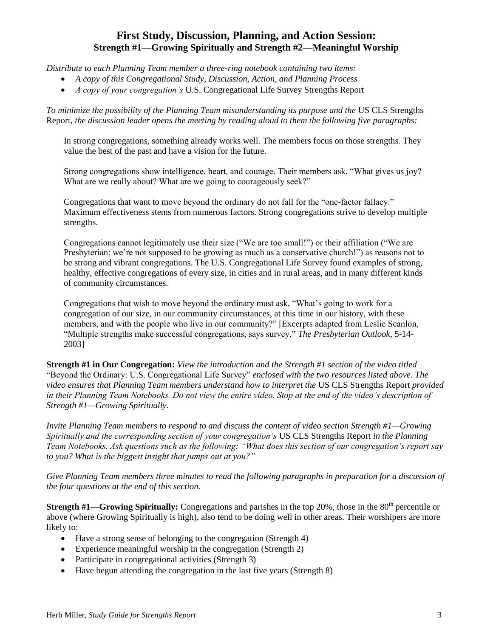# **First Study, Discussion, Planning, and Action Session: Strength #1—Growing Spiritually and Strength #2—Meaningful Worship**

*Distribute to each Planning Team member a three-ring notebook containing two items:*

- *A copy of this Congregational Study, Discussion, Action, and Planning Process*
- *A copy of your congregation's* U.S. Congregational Life Survey Strengths Report

*To minimize the possibility of the Planning Team misunderstanding its purpose and the* US CLS Strengths Report*, the discussion leader opens the meeting by reading aloud to them the following five paragraphs:*

In strong congregations, something already works well. The members focus on those strengths. They value the best of the past and have a vision for the future.

Strong congregations show intelligence, heart, and courage. Their members ask, "What gives us joy? What are we really about? What are we going to courageously seek?"

Congregations that want to move beyond the ordinary do not fall for the "one-factor fallacy." Maximum effectiveness stems from numerous factors. Strong congregations strive to develop multiple strengths.

Congregations cannot legitimately use their size ("We are too small!") or their affiliation ("We are Presbyterian; we're not supposed to be growing as much as a conservative church!") as reasons not to be strong and vibrant congregations. The U.S. Congregational Life Survey found examples of strong, healthy, effective congregations of every size, in cities and in rural areas, and in many different kinds of community circumstances.

Congregations that wish to move beyond the ordinary must ask, "What's going to work for a congregation of our size, in our community circumstances, at this time in our history, with these members, and with the people who live in our community?" [Excerpts adapted from Leslie Scanlon, "Multiple strengths make successful congregations, says survey," *The Presbyterian Outlook*, 5-14- 2003]

**Strength #1 in Our Congregation:** *View the introduction and the Strength #1 section of the video titled*  "Beyond the Ordinary: U.S. Congregational Life Survey" *enclosed with the two resources listed above. The video ensures that Planning Team members understand how to interpret the* US CLS Strengths Report *provided in their Planning Team Notebooks. Do not view the entire video. Stop at the end of the video's description of Strength #1—Growing Spiritually.*

*Invite Planning Team members to respond to and discuss the content of video section Strength #1—Growing Spiritually and the corresponding section of your congregation's* US CLS Strengths Report *in the Planning Team Notebooks. Ask questions such as the following: "What does this section of our congregation's report say to you? What is the biggest insight that jumps out at you?"* 

Give Planning Team members three minutes to read the following paragraphs in preparation for a discussion of *the four questions at the end of this section.*

**Strength #1—Growing Spiritually:** Congregations and parishes in the top 20%, those in the 80<sup>th</sup> percentile or above (where Growing Spiritually is high), also tend to be doing well in other areas. Their worshipers are more likely to:

- Have a strong sense of belonging to the congregation (Strength 4)
- Experience meaningful worship in the congregation (Strength 2)
- Participate in congregational activities (Strength 3)
- Have begun attending the congregation in the last five years (Strength 8)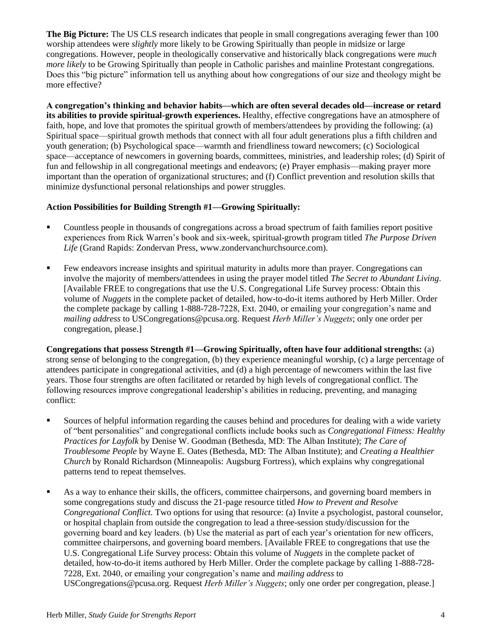**The Big Picture:** The US CLS research indicates that people in small congregations averaging fewer than 100 worship attendees were *slightly* more likely to be Growing Spiritually than people in midsize or large congregations. However, people in theologically conservative and historically black congregations were *much more likely* to be Growing Spiritually than people in Catholic parishes and mainline Protestant congregations. Does this "big picture" information tell us anything about how congregations of our size and theology might be more effective?

**A congregation's thinking and behavior habits—which are often several decades old—increase or retard its abilities to provide spiritual-growth experiences.** Healthy, effective congregations have an atmosphere of faith, hope, and love that promotes the spiritual growth of members/attendees by providing the following: (a) Spiritual space—spiritual growth methods that connect with all four adult generations plus a fifth children and youth generation; (b) Psychological space—warmth and friendliness toward newcomers; (c) Sociological space—acceptance of newcomers in governing boards, committees, ministries, and leadership roles; (d) Spirit of fun and fellowship in all congregational meetings and endeavors; (e) Prayer emphasis—making prayer more important than the operation of organizational structures; and (f) Conflict prevention and resolution skills that minimize dysfunctional personal relationships and power struggles.

# **Action Possibilities for Building Strength #1—Growing Spiritually:**

- Countless people in thousands of congregations across a broad spectrum of faith families report positive experiences from Rick Warren's book and six-week, spiritual-growth program titled *The Purpose Driven Life* (Grand Rapids: Zondervan Press, www.zondervanchurchsource.com).
- Few endeavors increase insights and spiritual maturity in adults more than prayer. Congregations can involve the majority of members/attendees in using the prayer model titled *The Secret to Abundant Living*. [Available FREE to congregations that use the U.S. Congregational Life Survey process: Obtain this volume of *Nuggets* in the complete packet of detailed, how-to-do-it items authored by Herb Miller. Order the complete package by calling 1-888-728-7228, Ext. 2040, or emailing your congregation's name and *mailing address* to [USCongregations@pcusa.org.](mailto:USCongregations@ctr.pcusa.org) Request *Herb Miller's Nuggets*; only one order per congregation, please.]

**Congregations that possess Strength #1—Growing Spiritually, often have four additional strengths:** (a) strong sense of belonging to the congregation, (b) they experience meaningful worship, (c) a large percentage of attendees participate in congregational activities, and (d) a high percentage of newcomers within the last five years. Those four strengths are often facilitated or retarded by high levels of congregational conflict. The following resources improve congregational leadership's abilities in reducing, preventing, and managing conflict:

- Sources of helpful information regarding the causes behind and procedures for dealing with a wide variety of "bent personalities" and congregational conflicts include books such as *Congregational Fitness: Healthy Practices for Layfolk* by Denise W. Goodman (Bethesda, MD: The Alban Institute); *The Care of Troublesome People* by Wayne E. Oates (Bethesda, MD: The Alban Institute); and *Creating a Healthier Church* by Ronald Richardson (Minneapolis: Augsburg Fortress), which explains why congregational patterns tend to repeat themselves.
- As a way to enhance their skills, the officers, committee chairpersons, and governing board members in some congregations study and discuss the 21-page resource titled *How to Prevent and Resolve Congregational Conflict.* Two options for using that resource: (a) Invite a psychologist, pastoral counselor, or hospital chaplain from outside the congregation to lead a three-session study/discussion for the governing board and key leaders. (b) Use the material as part of each year's orientation for new officers, committee chairpersons, and governing board members. [Available FREE to congregations that use the U.S. Congregational Life Survey process: Obtain this volume of *Nuggets* in the complete packet of detailed, how-to-do-it items authored by Herb Miller. Order the complete package by calling 1-888-728- 7228, Ext. 2040, or emailing your congregation's name and *mailing address* to [USCongregations@pcusa.org.](mailto:USCongregations@ctr.pcusa.org) Request *Herb Miller's Nuggets*; only one order per congregation, please.]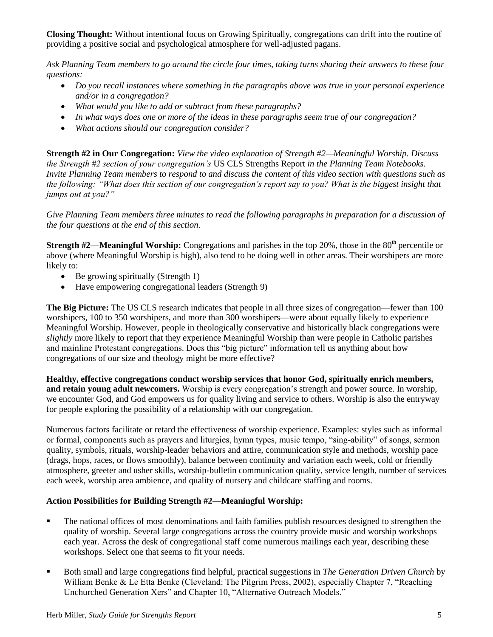**Closing Thought:** Without intentional focus on Growing Spiritually, congregations can drift into the routine of providing a positive social and psychological atmosphere for well-adjusted pagans.

*Ask Planning Team members to go around the circle four times, taking turns sharing their answers to these four questions:*

- *Do you recall instances where something in the paragraphs above was true in your personal experience and/or in a congregation?*
- *What would you like to add or subtract from these paragraphs?*
- *In what ways does one or more of the ideas in these paragraphs seem true of our congregation?*
- *What actions should our congregation consider?*

**Strength #2 in Our Congregation:** *View the video explanation of Strength #2—Meaningful Worship. Discuss the Strength #2 section of your congregation's* US CLS Strengths Report *in the Planning Team Notebooks. Invite Planning Team members to respond to and discuss the content of this video section with questions such as the following: "What does this section of our congregation's report say to you? What is the biggest insight that jumps out at you?"* 

*Give Planning Team members three minutes to read the following paragraphs in preparation for a discussion of the four questions at the end of this section.*

**Strength #2—Meaningful Worship:** Congregations and parishes in the top 20%, those in the 80<sup>th</sup> percentile or above (where Meaningful Worship is high), also tend to be doing well in other areas. Their worshipers are more likely to:

- $\bullet$  Be growing spiritually (Strength 1)
- Have empowering congregational leaders (Strength 9)

**The Big Picture:** The US CLS research indicates that people in all three sizes of congregation—fewer than 100 worshipers, 100 to 350 worshipers, and more than 300 worshipers—were about equally likely to experience Meaningful Worship. However, people in theologically conservative and historically black congregations were *slightly* more likely to report that they experience Meaningful Worship than were people in Catholic parishes and mainline Protestant congregations. Does this "big picture" information tell us anything about how congregations of our size and theology might be more effective?

**Healthy, effective congregations conduct worship services that honor God, spiritually enrich members, and retain young adult newcomers.** Worship is every congregation's strength and power source. In worship, we encounter God, and God empowers us for quality living and service to others. Worship is also the entryway for people exploring the possibility of a relationship with our congregation.

Numerous factors facilitate or retard the effectiveness of worship experience. Examples: styles such as informal or formal, components such as prayers and liturgies, hymn types, music tempo, "sing-ability" of songs, sermon quality, symbols, rituals, worship-leader behaviors and attire, communication style and methods, worship pace (drags, hops, races, or flows smoothly), balance between continuity and variation each week, cold or friendly atmosphere, greeter and usher skills, worship-bulletin communication quality, service length, number of services each week, worship area ambience, and quality of nursery and childcare staffing and rooms.

# **Action Possibilities for Building Strength #2—Meaningful Worship:**

- The national offices of most denominations and faith families publish resources designed to strengthen the quality of worship. Several large congregations across the country provide music and worship workshops each year. Across the desk of congregational staff come numerous mailings each year, describing these workshops. Select one that seems to fit your needs.
- Both small and large congregations find helpful, practical suggestions in *The Generation Driven Church* by William Benke & Le Etta Benke (Cleveland: The Pilgrim Press, 2002), especially Chapter 7, "Reaching Unchurched Generation Xers" and Chapter 10, "Alternative Outreach Models."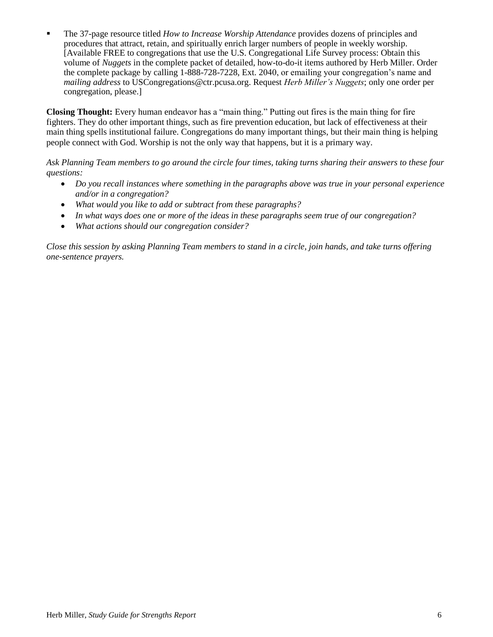The 37-page resource titled *How to Increase Worship Attendance* provides dozens of principles and procedures that attract, retain, and spiritually enrich larger numbers of people in weekly worship. [Available FREE to congregations that use the U.S. Congregational Life Survey process: Obtain this volume of *Nuggets* in the complete packet of detailed, how-to-do-it items authored by Herb Miller. Order the complete package by calling 1-888-728-7228, Ext. 2040, or emailing your congregation's name and *mailing address* to [USCongregations@ctr.pcusa.org.](mailto:USCongregations@ctr.pcusa.org) Request *Herb Miller's Nuggets*; only one order per congregation, please.]

**Closing Thought:** Every human endeavor has a "main thing." Putting out fires is the main thing for fire fighters. They do other important things, such as fire prevention education, but lack of effectiveness at their main thing spells institutional failure. Congregations do many important things, but their main thing is helping people connect with God. Worship is not the only way that happens, but it is a primary way.

*Ask Planning Team members to go around the circle four times, taking turns sharing their answers to these four questions:*

- *Do you recall instances where something in the paragraphs above was true in your personal experience and/or in a congregation?*
- *What would you like to add or subtract from these paragraphs?*
- *In what ways does one or more of the ideas in these paragraphs seem true of our congregation?*
- *What actions should our congregation consider?*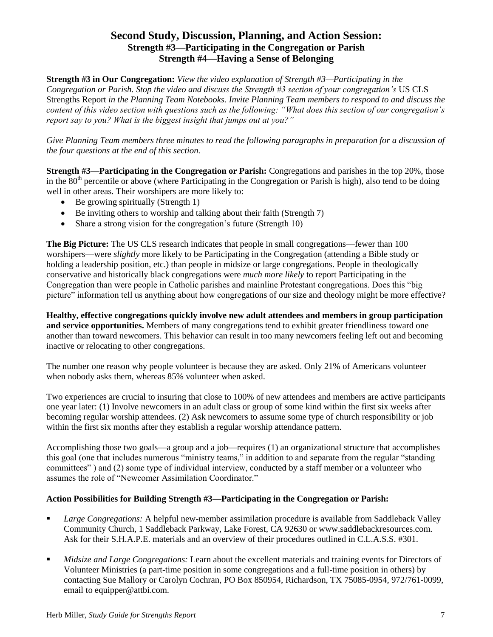# **Second Study, Discussion, Planning, and Action Session: Strength #3—Participating in the Congregation or Parish Strength #4—Having a Sense of Belonging**

**Strength #3 in Our Congregation:** *View the video explanation of Strength #3—Participating in the Congregation or Parish. Stop the video and discuss the Strength #3 section of your congregation's* US CLS Strengths Report *in the Planning Team Notebooks. Invite Planning Team members to respond to and discuss the content of this video section with questions such as the following: "What does this section of our congregation's report say to you? What is the biggest insight that jumps out at you?"* 

*Give Planning Team members three minutes to read the following paragraphs in preparation for a discussion of the four questions at the end of this section.*

**Strength #3—Participating in the Congregation or Parish:** Congregations and parishes in the top 20%, those in the  $80<sup>th</sup>$  percentile or above (where Participating in the Congregation or Parish is high), also tend to be doing well in other areas. Their worshipers are more likely to:

- Be growing spiritually (Strength 1)
- Be inviting others to worship and talking about their faith (Strength 7)
- Share a strong vision for the congregation's future (Strength 10)

**The Big Picture:** The US CLS research indicates that people in small congregations—fewer than 100 worshipers—were *slightly* more likely to be Participating in the Congregation (attending a Bible study or holding a leadership position, etc.) than people in midsize or large congregations. People in theologically conservative and historically black congregations were *much more likely* to report Participating in the Congregation than were people in Catholic parishes and mainline Protestant congregations. Does this "big picture" information tell us anything about how congregations of our size and theology might be more effective?

**Healthy, effective congregations quickly involve new adult attendees and members in group participation and service opportunities.** Members of many congregations tend to exhibit greater friendliness toward one another than toward newcomers. This behavior can result in too many newcomers feeling left out and becoming inactive or relocating to other congregations.

The number one reason why people volunteer is because they are asked. Only 21% of Americans volunteer when nobody asks them, whereas 85% volunteer when asked.

Two experiences are crucial to insuring that close to 100% of new attendees and members are active participants one year later: (1) Involve newcomers in an adult class or group of some kind within the first six weeks after becoming regular worship attendees. (2) Ask newcomers to assume some type of church responsibility or job within the first six months after they establish a regular worship attendance pattern.

Accomplishing those two goals—a group and a job—requires (1) an organizational structure that accomplishes this goal (one that includes numerous "ministry teams," in addition to and separate from the regular "standing committees" ) and (2) some type of individual interview, conducted by a staff member or a volunteer who assumes the role of "Newcomer Assimilation Coordinator."

# **Action Possibilities for Building Strength #3—Participating in the Congregation or Parish:**

- *Large Congregations:* A helpful new-member assimilation procedure is available from Saddleback Valley Community Church, 1 Saddleback Parkway, Lake Forest, CA 92630 or www.saddlebackresources.com. Ask for their S.H.A.P.E. materials and an overview of their procedures outlined in C.L.A.S.S. #301.
- *Midsize and Large Congregations:* Learn about the excellent materials and training events for Directors of Volunteer Ministries (a part-time position in some congregations and a full-time position in others) by contacting Sue Mallory or Carolyn Cochran, PO Box 850954, Richardson, TX 75085-0954, 972/761-0099, email t[o equipper@attbi.com.](mailto:equipper@attbi.com)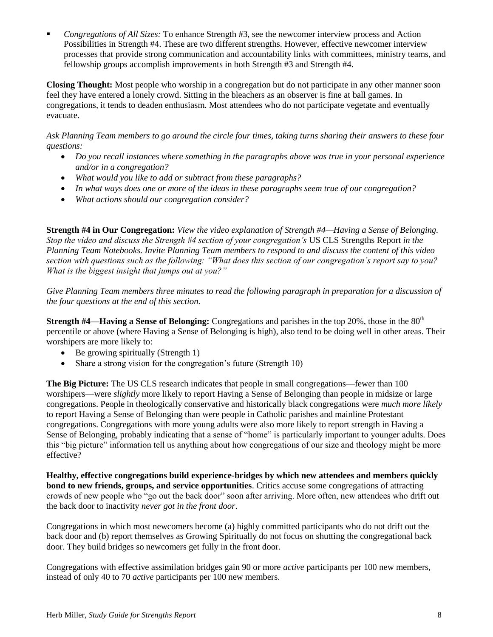*Congregations of All Sizes:* To enhance Strength #3, see the newcomer interview process and Action Possibilities in Strength #4. These are two different strengths. However, effective newcomer interview processes that provide strong communication and accountability links with committees, ministry teams, and fellowship groups accomplish improvements in both Strength #3 and Strength #4.

**Closing Thought:** Most people who worship in a congregation but do not participate in any other manner soon feel they have entered a lonely crowd. Sitting in the bleachers as an observer is fine at ball games. In congregations, it tends to deaden enthusiasm. Most attendees who do not participate vegetate and eventually evacuate.

*Ask Planning Team members to go around the circle four times, taking turns sharing their answers to these four questions:*

- *Do you recall instances where something in the paragraphs above was true in your personal experience and/or in a congregation?*
- *What would you like to add or subtract from these paragraphs?*
- *In what ways does one or more of the ideas in these paragraphs seem true of our congregation?*
- *What actions should our congregation consider?*

**Strength #4 in Our Congregation:** *View the video explanation of Strength #4—Having a Sense of Belonging. Stop the video and discuss the Strength #4 section of your congregation's* US CLS Strengths Report *in the Planning Team Notebooks. Invite Planning Team members to respond to and discuss the content of this video section with questions such as the following: "What does this section of our congregation's report say to you? What is the biggest insight that jumps out at you?"* 

*Give Planning Team members three minutes to read the following paragraph in preparation for a discussion of the four questions at the end of this section.*

**Strength #4—Having a Sense of Belonging:** Congregations and parishes in the top 20%, those in the 80<sup>th</sup> percentile or above (where Having a Sense of Belonging is high), also tend to be doing well in other areas. Their worshipers are more likely to:

- Be growing spiritually (Strength 1)
- Share a strong vision for the congregation's future (Strength 10)

**The Big Picture:** The US CLS research indicates that people in small congregations—fewer than 100 worshipers—were *slightly* more likely to report Having a Sense of Belonging than people in midsize or large congregations. People in theologically conservative and historically black congregations were *much more likely* to report Having a Sense of Belonging than were people in Catholic parishes and mainline Protestant congregations. Congregations with more young adults were also more likely to report strength in Having a Sense of Belonging, probably indicating that a sense of "home" is particularly important to younger adults. Does this "big picture" information tell us anything about how congregations of our size and theology might be more effective?

**Healthy, effective congregations build experience-bridges by which new attendees and members quickly bond to new friends, groups, and service opportunities**. Critics accuse some congregations of attracting crowds of new people who "go out the back door" soon after arriving. More often, new attendees who drift out the back door to inactivity *never got in the front door*.

Congregations in which most newcomers become (a) highly committed participants who do not drift out the back door and (b) report themselves as Growing Spiritually do not focus on shutting the congregational back door. They build bridges so newcomers get fully in the front door.

Congregations with effective assimilation bridges gain 90 or more *active* participants per 100 new members, instead of only 40 to 70 *active* participants per 100 new members.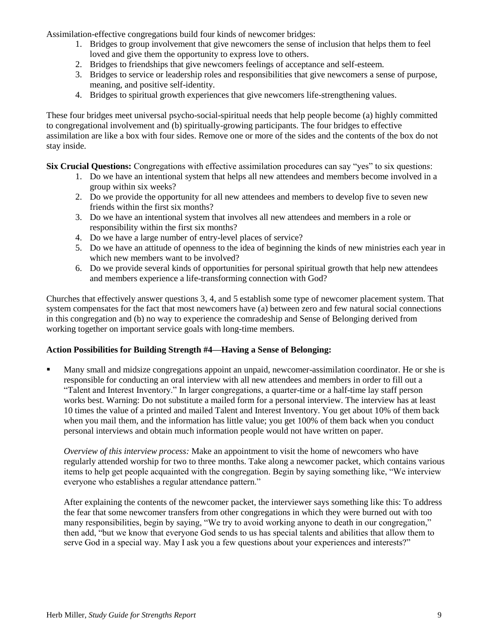Assimilation-effective congregations build four kinds of newcomer bridges:

- 1. Bridges to group involvement that give newcomers the sense of inclusion that helps them to feel loved and give them the opportunity to express love to others.
- 2. Bridges to friendships that give newcomers feelings of acceptance and self-esteem.
- 3. Bridges to service or leadership roles and responsibilities that give newcomers a sense of purpose, meaning, and positive self-identity.
- 4. Bridges to spiritual growth experiences that give newcomers life-strengthening values.

These four bridges meet universal psycho-social-spiritual needs that help people become (a) highly committed to congregational involvement and (b) spiritually-growing participants. The four bridges to effective assimilation are like a box with four sides. Remove one or more of the sides and the contents of the box do not stay inside.

**Six Crucial Questions:** Congregations with effective assimilation procedures can say "yes" to six questions:

- 1. Do we have an intentional system that helps all new attendees and members become involved in a group within six weeks?
- 2. Do we provide the opportunity for all new attendees and members to develop five to seven new friends within the first six months?
- 3. Do we have an intentional system that involves all new attendees and members in a role or responsibility within the first six months?
- 4. Do we have a large number of entry-level places of service?
- 5. Do we have an attitude of openness to the idea of beginning the kinds of new ministries each year in which new members want to be involved?
- 6. Do we provide several kinds of opportunities for personal spiritual growth that help new attendees and members experience a life-transforming connection with God?

Churches that effectively answer questions 3, 4, and 5 establish some type of newcomer placement system. That system compensates for the fact that most newcomers have (a) between zero and few natural social connections in this congregation and (b) no way to experience the comradeship and Sense of Belonging derived from working together on important service goals with long-time members.

# **Action Possibilities for Building Strength #4—Having a Sense of Belonging:**

 Many small and midsize congregations appoint an unpaid, newcomer-assimilation coordinator. He or she is responsible for conducting an oral interview with all new attendees and members in order to fill out a "Talent and Interest Inventory." In larger congregations, a quarter-time or a half-time lay staff person works best. Warning: Do not substitute a mailed form for a personal interview. The interview has at least 10 times the value of a printed and mailed Talent and Interest Inventory. You get about 10% of them back when you mail them, and the information has little value; you get 100% of them back when you conduct personal interviews and obtain much information people would not have written on paper.

*Overview of this interview process:* Make an appointment to visit the home of newcomers who have regularly attended worship for two to three months. Take along a newcomer packet, which contains various items to help get people acquainted with the congregation. Begin by saying something like, "We interview everyone who establishes a regular attendance pattern."

After explaining the contents of the newcomer packet, the interviewer says something like this: To address the fear that some newcomer transfers from other congregations in which they were burned out with too many responsibilities, begin by saying, "We try to avoid working anyone to death in our congregation," then add, "but we know that everyone God sends to us has special talents and abilities that allow them to serve God in a special way. May I ask you a few questions about your experiences and interests?"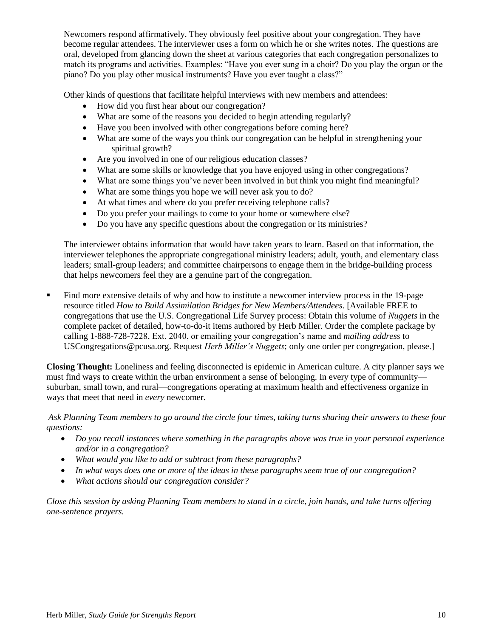Newcomers respond affirmatively. They obviously feel positive about your congregation. They have become regular attendees. The interviewer uses a form on which he or she writes notes. The questions are oral, developed from glancing down the sheet at various categories that each congregation personalizes to match its programs and activities. Examples: "Have you ever sung in a choir? Do you play the organ or the piano? Do you play other musical instruments? Have you ever taught a class?"

Other kinds of questions that facilitate helpful interviews with new members and attendees:

- How did you first hear about our congregation?
- What are some of the reasons you decided to begin attending regularly?
- Have you been involved with other congregations before coming here?
- What are some of the ways you think our congregation can be helpful in strengthening your spiritual growth?
- Are you involved in one of our religious education classes?
- What are some skills or knowledge that you have enjoyed using in other congregations?
- What are some things you've never been involved in but think you might find meaningful?
- What are some things you hope we will never ask you to do?
- At what times and where do you prefer receiving telephone calls?
- Do you prefer your mailings to come to your home or somewhere else?
- Do you have any specific questions about the congregation or its ministries?

The interviewer obtains information that would have taken years to learn. Based on that information, the interviewer telephones the appropriate congregational ministry leaders; adult, youth, and elementary class leaders; small-group leaders; and committee chairpersons to engage them in the bridge-building process that helps newcomers feel they are a genuine part of the congregation.

 Find more extensive details of why and how to institute a newcomer interview process in the 19-page resource titled *How to Build Assimilation Bridges for New Members/Attendees*. [Available FREE to congregations that use the U.S. Congregational Life Survey process: Obtain this volume of *Nuggets* in the complete packet of detailed, how-to-do-it items authored by Herb Miller. Order the complete package by calling 1-888-728-7228, Ext. 2040, or emailing your congregation's name and *mailing address* to [USCongregations@pcusa.org.](mailto:USCongregations@ctr.pcusa.org) Request *Herb Miller's Nuggets*; only one order per congregation, please.]

**Closing Thought:** Loneliness and feeling disconnected is epidemic in American culture. A city planner says we must find ways to create within the urban environment a sense of belonging. In every type of community suburban, small town, and rural—congregations operating at maximum health and effectiveness organize in ways that meet that need in *every* newcomer.

#### *Ask Planning Team members to go around the circle four times, taking turns sharing their answers to these four questions:*

- *Do you recall instances where something in the paragraphs above was true in your personal experience and/or in a congregation?*
- *What would you like to add or subtract from these paragraphs?*
- *In what ways does one or more of the ideas in these paragraphs seem true of our congregation?*
- *What actions should our congregation consider?*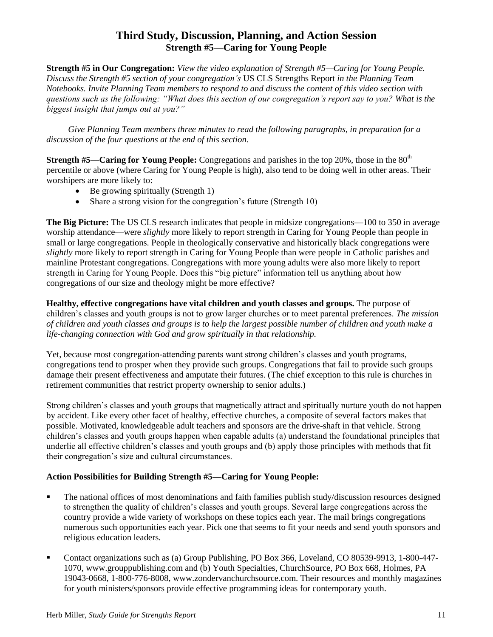# **Third Study, Discussion, Planning, and Action Session Strength #5—Caring for Young People**

**Strength #5 in Our Congregation:** *View the video explanation of Strength #5—Caring for Young People. Discuss the Strength #5 section of your congregation's* US CLS Strengths Report *in the Planning Team Notebooks. Invite Planning Team members to respond to and discuss the content of this video section with questions such as the following: "What does this section of our congregation's report say to you? What is the biggest insight that jumps out at you?"* 

*Give Planning Team members three minutes to read the following paragraphs, in preparation for a discussion of the four questions at the end of this section.*

**Strength #5—Caring for Young People:** Congregations and parishes in the top 20%, those in the 80<sup>th</sup> percentile or above (where Caring for Young People is high), also tend to be doing well in other areas. Their worshipers are more likely to:

- $\bullet$  Be growing spiritually (Strength 1)
- Share a strong vision for the congregation's future (Strength 10)

**The Big Picture:** The US CLS research indicates that people in midsize congregations—100 to 350 in average worship attendance—were *slightly* more likely to report strength in Caring for Young People than people in small or large congregations. People in theologically conservative and historically black congregations were *slightly* more likely to report strength in Caring for Young People than were people in Catholic parishes and mainline Protestant congregations. Congregations with more young adults were also more likely to report strength in Caring for Young People. Does this "big picture" information tell us anything about how congregations of our size and theology might be more effective?

**Healthy, effective congregations have vital children and youth classes and groups.** The purpose of children's classes and youth groups is not to grow larger churches or to meet parental preferences. *The mission of children and youth classes and groups is to help the largest possible number of children and youth make a life-changing connection with God and grow spiritually in that relationship.*

Yet, because most congregation-attending parents want strong children's classes and youth programs, congregations tend to prosper when they provide such groups. Congregations that fail to provide such groups damage their present effectiveness and amputate their futures. (The chief exception to this rule is churches in retirement communities that restrict property ownership to senior adults.)

Strong children's classes and youth groups that magnetically attract and spiritually nurture youth do not happen by accident. Like every other facet of healthy, effective churches, a composite of several factors makes that possible. Motivated, knowledgeable adult teachers and sponsors are the drive-shaft in that vehicle. Strong children's classes and youth groups happen when capable adults (a) understand the foundational principles that underlie all effective children's classes and youth groups and (b) apply those principles with methods that fit their congregation's size and cultural circumstances.

# **Action Possibilities for Building Strength #5—Caring for Young People:**

- The national offices of most denominations and faith families publish study/discussion resources designed to strengthen the quality of children's classes and youth groups. Several large congregations across the country provide a wide variety of workshops on these topics each year. The mail brings congregations numerous such opportunities each year. Pick one that seems to fit your needs and send youth sponsors and religious education leaders.
- Contact organizations such as (a) Group Publishing, PO Box 366, Loveland, CO 80539-9913, 1-800-447-1070, www.grouppublishing.com and (b) Youth Specialties, ChurchSource, PO Box 668, Holmes, PA 19043-0668, 1-800-776-8008, www.zondervanchurchsource.com. Their resources and monthly magazines for youth ministers/sponsors provide effective programming ideas for contemporary youth.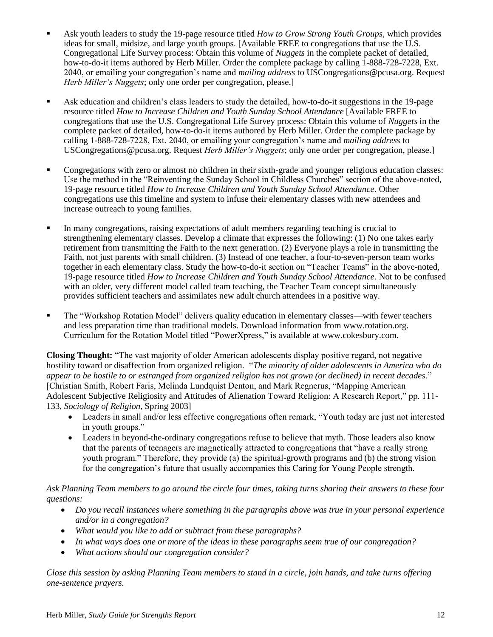- Ask youth leaders to study the 19-page resource titled *How to Grow Strong Youth Groups*, which provides ideas for small, midsize, and large youth groups. [Available FREE to congregations that use the U.S. Congregational Life Survey process: Obtain this volume of *Nuggets* in the complete packet of detailed, how-to-do-it items authored by Herb Miller. Order the complete package by calling 1-888-728-7228, Ext. 2040, or emailing your congregation's name and *mailing address* t[o USCongregations@pcusa.org.](mailto:USCongregations@ctr.pcusa.org) Request *Herb Miller's Nuggets*; only one order per congregation, please.]
- Ask education and children's class leaders to study the detailed, how-to-do-it suggestions in the 19-page resource titled *How to Increase Children and Youth Sunday School Attendance* [Available FREE to congregations that use the U.S. Congregational Life Survey process: Obtain this volume of *Nuggets* in the complete packet of detailed, how-to-do-it items authored by Herb Miller. Order the complete package by calling 1-888-728-7228, Ext. 2040, or emailing your congregation's name and *mailing address* to [USCongregations@pcusa.org.](mailto:USCongregations@ctr.pcusa.org) Request *Herb Miller's Nuggets*; only one order per congregation, please.]
- Congregations with zero or almost no children in their sixth-grade and younger religious education classes: Use the method in the "Reinventing the Sunday School in Childless Churches" section of the above-noted, 19-page resource titled *How to Increase Children and Youth Sunday School Attendance*. Other congregations use this timeline and system to infuse their elementary classes with new attendees and increase outreach to young families.
- In many congregations, raising expectations of adult members regarding teaching is crucial to strengthening elementary classes. Develop a climate that expresses the following: (1) No one takes early retirement from transmitting the Faith to the next generation. (2) Everyone plays a role in transmitting the Faith, not just parents with small children. (3) Instead of one teacher, a four-to-seven-person team works together in each elementary class. Study the how-to-do-it section on "Teacher Teams" in the above-noted, 19-page resource titled *How to Increase Children and Youth Sunday School Attendance*. Not to be confused with an older, very different model called team teaching, the Teacher Team concept simultaneously provides sufficient teachers and assimilates new adult church attendees in a positive way.
- The "Workshop Rotation Model" delivers quality education in elementary classes—with fewer teachers and less preparation time than traditional models. Download information from [www.rotation.org.](http://www.rotation.org/) Curriculum for the Rotation Model titled "PowerXpress," is available at www.cokesbury.com.

**Closing Thought:** "The vast majority of older American adolescents display positive regard, not negative hostility toward or disaffection from organized religion. "*The minority of older adolescents in America who do appear to be hostile to or estranged from organized religion has not grown (or declined) in recent decades.*" [Christian Smith, Robert Faris, Melinda Lundquist Denton, and Mark Regnerus, "Mapping American Adolescent Subjective Religiosity and Attitudes of Alienation Toward Religion: A Research Report," pp. 111- 133, *Sociology of Religion*, Spring 2003]

- Leaders in small and/or less effective congregations often remark, "Youth today are just not interested in youth groups."
- Leaders in beyond-the-ordinary congregations refuse to believe that myth. Those leaders also know that the parents of teenagers are magnetically attracted to congregations that "have a really strong youth program." Therefore, they provide (a) the spiritual-growth programs and (b) the strong vision for the congregation's future that usually accompanies this Caring for Young People strength.

*Ask Planning Team members to go around the circle four times, taking turns sharing their answers to these four questions:*

- *Do you recall instances where something in the paragraphs above was true in your personal experience and/or in a congregation?*
- *What would you like to add or subtract from these paragraphs?*
- *In what ways does one or more of the ideas in these paragraphs seem true of our congregation?*
- *What actions should our congregation consider?*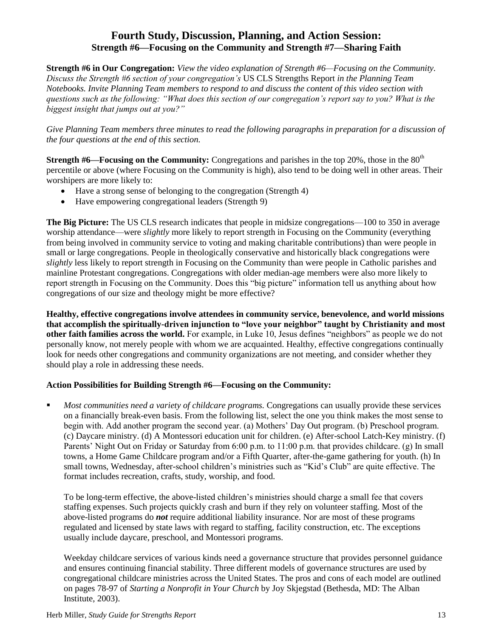# **Fourth Study, Discussion, Planning, and Action Session: Strength #6—Focusing on the Community and Strength #7—Sharing Faith**

**Strength #6 in Our Congregation:** *View the video explanation of Strength #6—Focusing on the Community. Discuss the Strength #6 section of your congregation's* US CLS Strengths Report *in the Planning Team Notebooks. Invite Planning Team members to respond to and discuss the content of this video section with questions such as the following: "What does this section of our congregation's report say to you? What is the biggest insight that jumps out at you?"* 

*Give Planning Team members three minutes to read the following paragraphs in preparation for a discussion of the four questions at the end of this section.*

**Strength #6—Focusing on the Community:** Congregations and parishes in the top 20%, those in the 80<sup>th</sup> percentile or above (where Focusing on the Community is high), also tend to be doing well in other areas. Their worshipers are more likely to:

- Have a strong sense of belonging to the congregation (Strength 4)
- Have empowering congregational leaders (Strength 9)

**The Big Picture:** The US CLS research indicates that people in midsize congregations—100 to 350 in average worship attendance—were *slightly* more likely to report strength in Focusing on the Community (everything from being involved in community service to voting and making charitable contributions) than were people in small or large congregations. People in theologically conservative and historically black congregations were *slightly* less likely to report strength in Focusing on the Community than were people in Catholic parishes and mainline Protestant congregations. Congregations with older median-age members were also more likely to report strength in Focusing on the Community. Does this "big picture" information tell us anything about how congregations of our size and theology might be more effective?

**Healthy, effective congregations involve attendees in community service, benevolence, and world missions that accomplish the spiritually-driven injunction to "love your neighbor" taught by Christianity and most other faith families across the world.** For example, in Luke 10, Jesus defines "neighbors" as people we do not personally know, not merely people with whom we are acquainted. Healthy, effective congregations continually look for needs other congregations and community organizations are not meeting, and consider whether they should play a role in addressing these needs.

# **Action Possibilities for Building Strength #6—Focusing on the Community:**

 *Most communities need a variety of childcare programs.* Congregations can usually provide these services on a financially break-even basis. From the following list, select the one you think makes the most sense to begin with. Add another program the second year. (a) Mothers' Day Out program. (b) Preschool program. (c) Daycare ministry. (d) A Montessori education unit for children. (e) After-school Latch-Key ministry. (f) Parents' Night Out on Friday or Saturday from 6:00 p.m. to 11:00 p.m. that provides childcare. (g) In small towns, a Home Game Childcare program and/or a Fifth Quarter, after-the-game gathering for youth. (h) In small towns, Wednesday, after-school children's ministries such as "Kid's Club" are quite effective. The format includes recreation, crafts, study, worship, and food.

To be long-term effective, the above-listed children's ministries should charge a small fee that covers staffing expenses. Such projects quickly crash and burn if they rely on volunteer staffing. Most of the above-listed programs do *not* require additional liability insurance. Nor are most of these programs regulated and licensed by state laws with regard to staffing, facility construction, etc. The exceptions usually include daycare, preschool, and Montessori programs.

Weekday childcare services of various kinds need a governance structure that provides personnel guidance and ensures continuing financial stability. Three different models of governance structures are used by congregational childcare ministries across the United States. The pros and cons of each model are outlined on pages 78-97 of *Starting a Nonprofit in Your Church* by Joy Skjegstad (Bethesda, MD: The Alban Institute, 2003).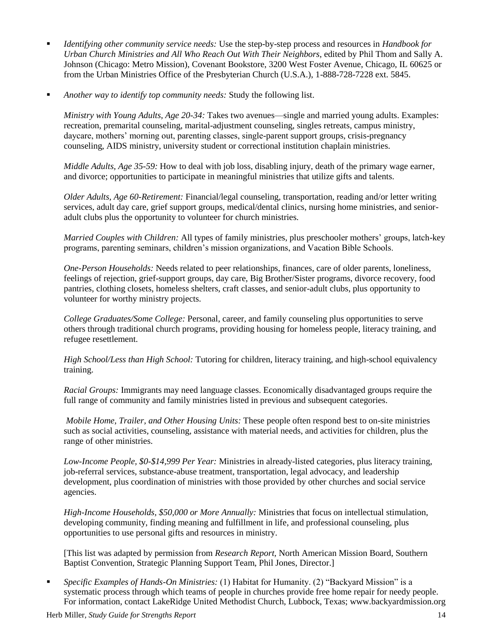- *Identifying other community service needs:* Use the step-by-step process and resources in *Handbook for Urban Church Ministries and All Who Reach Out With Their Neighbors*, edited by Phil Thom and Sally A. Johnson (Chicago: Metro Mission), Covenant Bookstore, 3200 West Foster Avenue, Chicago, IL 60625 or from the Urban Ministries Office of the Presbyterian Church (U.S.A.), 1-888-728-7228 ext. 5845.
- *Another way to identify top community needs:* Study the following list.

*Ministry with Young Adults, Age 20-34:* Takes two avenues—single and married young adults. Examples: recreation, premarital counseling, marital-adjustment counseling, singles retreats, campus ministry, daycare, mothers' morning out, parenting classes, single-parent support groups, crisis-pregnancy counseling, AIDS ministry, university student or correctional institution chaplain ministries.

*Middle Adults, Age 35-59:* How to deal with job loss, disabling injury, death of the primary wage earner, and divorce; opportunities to participate in meaningful ministries that utilize gifts and talents.

*Older Adults, Age 60-Retirement:* Financial/legal counseling, transportation, reading and/or letter writing services, adult day care, grief support groups, medical/dental clinics, nursing home ministries, and senioradult clubs plus the opportunity to volunteer for church ministries.

*Married Couples with Children:* All types of family ministries, plus preschooler mothers' groups, latch-key programs, parenting seminars, children's mission organizations, and Vacation Bible Schools.

*One-Person Households:* Needs related to peer relationships, finances, care of older parents, loneliness, feelings of rejection, grief-support groups, day care, Big Brother/Sister programs, divorce recovery, food pantries, clothing closets, homeless shelters, craft classes, and senior-adult clubs, plus opportunity to volunteer for worthy ministry projects.

*College Graduates/Some College:* Personal, career, and family counseling plus opportunities to serve others through traditional church programs, providing housing for homeless people, literacy training, and refugee resettlement.

*High School/Less than High School:* Tutoring for children, literacy training, and high-school equivalency training.

*Racial Groups:* Immigrants may need language classes. Economically disadvantaged groups require the full range of community and family ministries listed in previous and subsequent categories.

*Mobile Home, Trailer, and Other Housing Units:* These people often respond best to on-site ministries such as social activities, counseling, assistance with material needs, and activities for children, plus the range of other ministries.

*Low-Income People, \$0-\$14,999 Per Year:* Ministries in already-listed categories, plus literacy training, job-referral services, substance-abuse treatment, transportation, legal advocacy, and leadership development, plus coordination of ministries with those provided by other churches and social service agencies.

*High-Income Households, \$50,000 or More Annually:* Ministries that focus on intellectual stimulation, developing community, finding meaning and fulfillment in life, and professional counseling, plus opportunities to use personal gifts and resources in ministry.

[This list was adapted by permission from *Research Report,* North American Mission Board, Southern Baptist Convention, Strategic Planning Support Team, Phil Jones, Director.]

 *Specific Examples of Hands-On Ministries:* (1) Habitat for Humanity. (2) "Backyard Mission" is a systematic process through which teams of people in churches provide free home repair for needy people. For information, contact LakeRidge United Methodist Church, Lubbock, Texas; www.backyardmission.org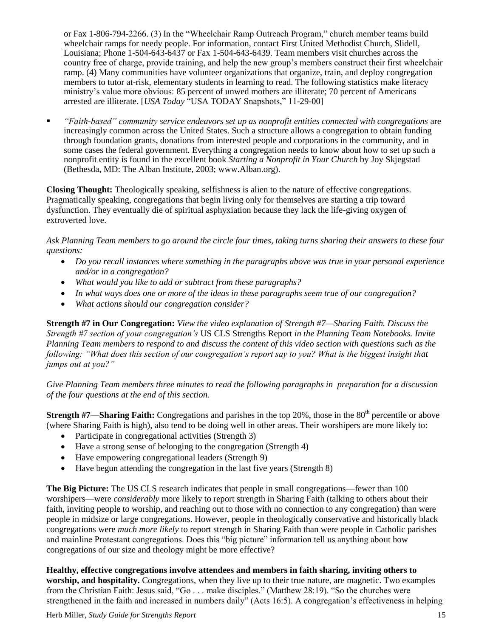or Fax 1-806-794-2266. (3) In the "Wheelchair Ramp Outreach Program," church member teams build wheelchair ramps for needy people. For information, contact First United Methodist Church, Slidell, Louisiana; Phone 1-504-643-6437 or Fax 1-504-643-6439. Team members visit churches across the country free of charge, provide training, and help the new group's members construct their first wheelchair ramp. (4) Many communities have volunteer organizations that organize, train, and deploy congregation members to tutor at-risk, elementary students in learning to read. The following statistics make literacy ministry's value more obvious: 85 percent of unwed mothers are illiterate; 70 percent of Americans arrested are illiterate. [*USA Today* "USA TODAY Snapshots," 11-29-00]

 *"Faith-based" community service endeavors set up as nonprofit entities connected with congregations* are increasingly common across the United States. Such a structure allows a congregation to obtain funding through foundation grants, donations from interested people and corporations in the community, and in some cases the federal government. Everything a congregation needs to know about how to set up such a nonprofit entity is found in the excellent book *Starting a Nonprofit in Your Church* by Joy Skjegstad (Bethesda, MD: The Alban Institute, 2003; www.Alban.org).

**Closing Thought:** Theologically speaking, selfishness is alien to the nature of effective congregations. Pragmatically speaking, congregations that begin living only for themselves are starting a trip toward dysfunction. They eventually die of spiritual asphyxiation because they lack the life-giving oxygen of extroverted love.

*Ask Planning Team members to go around the circle four times, taking turns sharing their answers to these four questions:*

- *Do you recall instances where something in the paragraphs above was true in your personal experience and/or in a congregation?*
- *What would you like to add or subtract from these paragraphs?*
- *In what ways does one or more of the ideas in these paragraphs seem true of our congregation?*
- *What actions should our congregation consider?*

**Strength #7 in Our Congregation:** *View the video explanation of Strength #7—Sharing Faith. Discuss the Strength #7 section of your congregation's* US CLS Strengths Report *in the Planning Team Notebooks. Invite Planning Team members to respond to and discuss the content of this video section with questions such as the following: "What does this section of our congregation's report say to you? What is the biggest insight that jumps out at you?"* 

*Give Planning Team members three minutes to read the following paragraphs in preparation for a discussion of the four questions at the end of this section.*

**Strength #7—Sharing Faith:** Congregations and parishes in the top 20%, those in the 80<sup>th</sup> percentile or above (where Sharing Faith is high), also tend to be doing well in other areas. Their worshipers are more likely to:

- Participate in congregational activities (Strength 3)
- Have a strong sense of belonging to the congregation (Strength 4)
- Have empowering congregational leaders (Strength 9)
- Have begun attending the congregation in the last five years (Strength 8)

**The Big Picture:** The US CLS research indicates that people in small congregations—fewer than 100 worshipers—were *considerably* more likely to report strength in Sharing Faith (talking to others about their faith, inviting people to worship, and reaching out to those with no connection to any congregation) than were people in midsize or large congregations. However, people in theologically conservative and historically black congregations were *much more likely* to report strength in Sharing Faith than were people in Catholic parishes and mainline Protestant congregations. Does this "big picture" information tell us anything about how congregations of our size and theology might be more effective?

**Healthy, effective congregations involve attendees and members in faith sharing, inviting others to worship, and hospitality.** Congregations, when they live up to their true nature, are magnetic. Two examples from the Christian Faith: Jesus said, "Go . . . make disciples." (Matthew 28:19). "So the churches were strengthened in the faith and increased in numbers daily" (Acts 16:5). A congregation's effectiveness in helping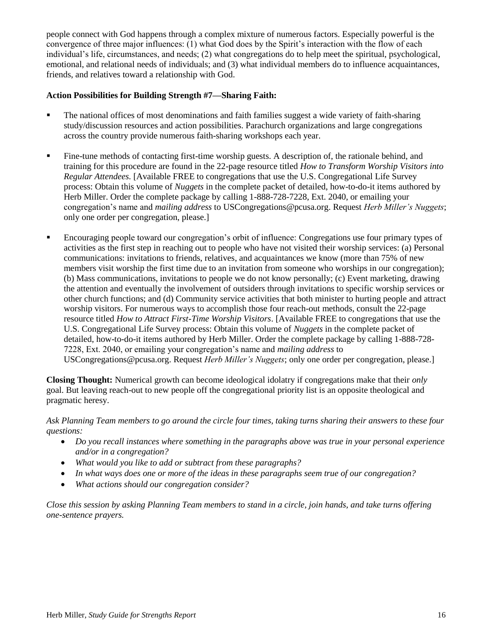people connect with God happens through a complex mixture of numerous factors. Especially powerful is the convergence of three major influences: (1) what God does by the Spirit's interaction with the flow of each individual's life, circumstances, and needs; (2) what congregations do to help meet the spiritual, psychological, emotional, and relational needs of individuals; and (3) what individual members do to influence acquaintances, friends, and relatives toward a relationship with God.

# **Action Possibilities for Building Strength #7—Sharing Faith:**

- The national offices of most denominations and faith families suggest a wide variety of faith-sharing study/discussion resources and action possibilities. Parachurch organizations and large congregations across the country provide numerous faith-sharing workshops each year.
- Fine-tune methods of contacting first-time worship guests. A description of, the rationale behind, and training for this procedure are found in the 22-page resource titled *How to Transform Worship Visitors into Regular Attendees.* [Available FREE to congregations that use the U.S. Congregational Life Survey process: Obtain this volume of *Nuggets* in the complete packet of detailed, how-to-do-it items authored by Herb Miller. Order the complete package by calling 1-888-728-7228, Ext. 2040, or emailing your congregation's name and *mailing address* to [USCongregations@pcusa.org.](mailto:USCongregations@ctr.pcusa.org) Request *Herb Miller's Nuggets*; only one order per congregation, please.]
- Encouraging people toward our congregation's orbit of influence: Congregations use four primary types of activities as the first step in reaching out to people who have not visited their worship services: (a) Personal communications: invitations to friends, relatives, and acquaintances we know (more than 75% of new members visit worship the first time due to an invitation from someone who worships in our congregation); (b) Mass communications, invitations to people we do not know personally; (c) Event marketing, drawing the attention and eventually the involvement of outsiders through invitations to specific worship services or other church functions; and (d) Community service activities that both minister to hurting people and attract worship visitors. For numerous ways to accomplish those four reach-out methods, consult the 22-page resource titled *How to Attract First-Time Worship Visitors*. [Available FREE to congregations that use the U.S. Congregational Life Survey process: Obtain this volume of *Nuggets* in the complete packet of detailed, how-to-do-it items authored by Herb Miller. Order the complete package by calling 1-888-728- 7228, Ext. 2040, or emailing your congregation's name and *mailing address* to [USCongregations@pcusa.org.](mailto:USCongregations@ctr.pcusa.org) Request *Herb Miller's Nuggets*; only one order per congregation, please.]

**Closing Thought:** Numerical growth can become ideological idolatry if congregations make that their *only* goal. But leaving reach-out to new people off the congregational priority list is an opposite theological and pragmatic heresy.

#### *Ask Planning Team members to go around the circle four times, taking turns sharing their answers to these four questions:*

- *Do you recall instances where something in the paragraphs above was true in your personal experience and/or in a congregation?*
- *What would you like to add or subtract from these paragraphs?*
- *In what ways does one or more of the ideas in these paragraphs seem true of our congregation?*
- *What actions should our congregation consider?*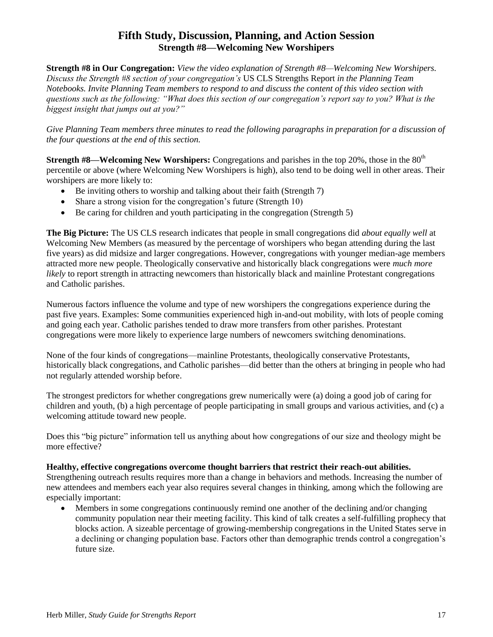# **Fifth Study, Discussion, Planning, and Action Session Strength #8—Welcoming New Worshipers**

**Strength #8 in Our Congregation:** *View the video explanation of Strength #8—Welcoming New Worshipers. Discuss the Strength #8 section of your congregation's* US CLS Strengths Report *in the Planning Team Notebooks. Invite Planning Team members to respond to and discuss the content of this video section with questions such as the following: "What does this section of our congregation's report say to you? What is the biggest insight that jumps out at you?"* 

Give Planning Team members three minutes to read the following paragraphs in preparation for a discussion of *the four questions at the end of this section.*

**Strength #8—Welcoming New Worshipers:** Congregations and parishes in the top 20%, those in the 80<sup>th</sup> percentile or above (where Welcoming New Worshipers is high), also tend to be doing well in other areas. Their worshipers are more likely to:

- Be inviting others to worship and talking about their faith (Strength 7)
- Share a strong vision for the congregation's future (Strength 10)
- Be caring for children and youth participating in the congregation (Strength 5)

**The Big Picture:** The US CLS research indicates that people in small congregations did *about equally well* at Welcoming New Members (as measured by the percentage of worshipers who began attending during the last five years) as did midsize and larger congregations. However, congregations with younger median-age members attracted more new people. Theologically conservative and historically black congregations were *much more likely* to report strength in attracting newcomers than historically black and mainline Protestant congregations and Catholic parishes.

Numerous factors influence the volume and type of new worshipers the congregations experience during the past five years. Examples: Some communities experienced high in-and-out mobility, with lots of people coming and going each year. Catholic parishes tended to draw more transfers from other parishes. Protestant congregations were more likely to experience large numbers of newcomers switching denominations.

None of the four kinds of congregations—mainline Protestants, theologically conservative Protestants, historically black congregations, and Catholic parishes—did better than the others at bringing in people who had not regularly attended worship before.

The strongest predictors for whether congregations grew numerically were (a) doing a good job of caring for children and youth, (b) a high percentage of people participating in small groups and various activities, and (c) a welcoming attitude toward new people.

Does this "big picture" information tell us anything about how congregations of our size and theology might be more effective?

# **Healthy, effective congregations overcome thought barriers that restrict their reach-out abilities.**

Strengthening outreach results requires more than a change in behaviors and methods. Increasing the number of new attendees and members each year also requires several changes in thinking, among which the following are especially important:

 Members in some congregations continuously remind one another of the declining and/or changing community population near their meeting facility. This kind of talk creates a self-fulfilling prophecy that blocks action. A sizeable percentage of growing-membership congregations in the United States serve in a declining or changing population base. Factors other than demographic trends control a congregation's future size.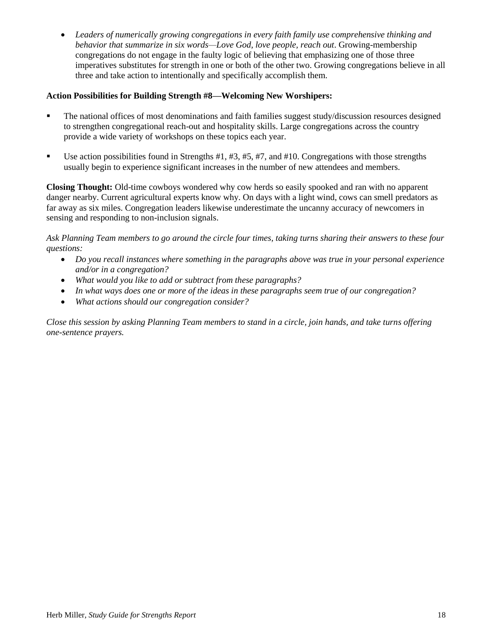*Leaders of numerically growing congregations in every faith family use comprehensive thinking and behavior that summarize in six words—Love God, love people, reach out*. Growing-membership congregations do not engage in the faulty logic of believing that emphasizing one of those three imperatives substitutes for strength in one or both of the other two. Growing congregations believe in all three and take action to intentionally and specifically accomplish them.

#### **Action Possibilities for Building Strength #8—Welcoming New Worshipers:**

- The national offices of most denominations and faith families suggest study/discussion resources designed to strengthen congregational reach-out and hospitality skills. Large congregations across the country provide a wide variety of workshops on these topics each year.
- Use action possibilities found in Strengths  $#1, #3, #5, #7,$  and  $#10$ . Congregations with those strengths usually begin to experience significant increases in the number of new attendees and members.

**Closing Thought:** Old-time cowboys wondered why cow herds so easily spooked and ran with no apparent danger nearby. Current agricultural experts know why. On days with a light wind, cows can smell predators as far away as six miles. Congregation leaders likewise underestimate the uncanny accuracy of newcomers in sensing and responding to non-inclusion signals.

*Ask Planning Team members to go around the circle four times, taking turns sharing their answers to these four questions:*

- *Do you recall instances where something in the paragraphs above was true in your personal experience and/or in a congregation?*
- *What would you like to add or subtract from these paragraphs?*
- *In what ways does one or more of the ideas in these paragraphs seem true of our congregation?*
- *What actions should our congregation consider?*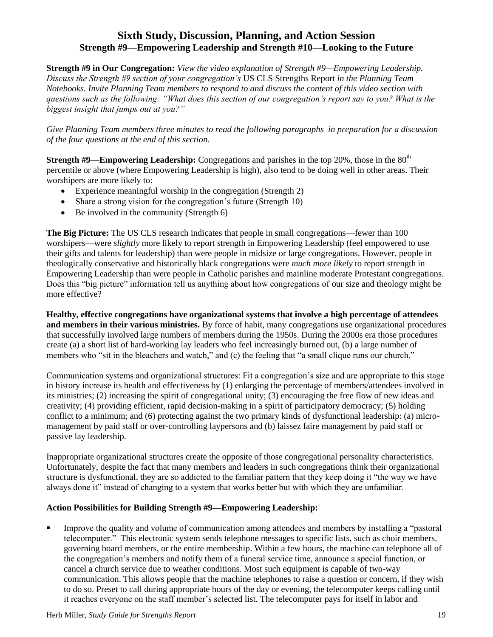# **Sixth Study, Discussion, Planning, and Action Session Strength #9—Empowering Leadership and Strength #10—Looking to the Future**

**Strength #9 in Our Congregation:** *View the video explanation of Strength #9—Empowering Leadership. Discuss the Strength #9 section of your congregation's* US CLS Strengths Report *in the Planning Team Notebooks. Invite Planning Team members to respond to and discuss the content of this video section with questions such as the following: "What does this section of our congregation's report say to you? What is the biggest insight that jumps out at you?"* 

*Give Planning Team members three minutes to read the following paragraphs in preparation for a discussion of the four questions at the end of this section.*

**Strength #9—Empowering Leadership:** Congregations and parishes in the top 20%, those in the 80<sup>th</sup> percentile or above (where Empowering Leadership is high), also tend to be doing well in other areas. Their worshipers are more likely to:

- Experience meaningful worship in the congregation (Strength 2)
- Share a strong vision for the congregation's future (Strength 10)
- $\bullet$  Be involved in the community (Strength 6)

**The Big Picture:** The US CLS research indicates that people in small congregations—fewer than 100 worshipers—were *slightly* more likely to report strength in Empowering Leadership (feel empowered to use their gifts and talents for leadership) than were people in midsize or large congregations. However, people in theologically conservative and historically black congregations were *much more likely* to report strength in Empowering Leadership than were people in Catholic parishes and mainline moderate Protestant congregations. Does this "big picture" information tell us anything about how congregations of our size and theology might be more effective?

**Healthy, effective congregations have organizational systems that involve a high percentage of attendees and members in their various ministries.** By force of habit, many congregations use organizational procedures that successfully involved large numbers of members during the 1950s. During the 2000s era those procedures create (a) a short list of hard-working lay leaders who feel increasingly burned out, (b) a large number of members who "sit in the bleachers and watch," and (c) the feeling that "a small clique runs our church."

Communication systems and organizational structures: Fit a congregation's size and are appropriate to this stage in history increase its health and effectiveness by (1) enlarging the percentage of members/attendees involved in its ministries; (2) increasing the spirit of congregational unity; (3) encouraging the free flow of new ideas and creativity; (4) providing efficient, rapid decision-making in a spirit of participatory democracy; (5) holding conflict to a minimum; and (6) protecting against the two primary kinds of dysfunctional leadership: (a) micromanagement by paid staff or over-controlling laypersons and (b) laissez faire management by paid staff or passive lay leadership.

Inappropriate organizational structures create the opposite of those congregational personality characteristics. Unfortunately, despite the fact that many members and leaders in such congregations think their organizational structure is dysfunctional, they are so addicted to the familiar pattern that they keep doing it "the way we have always done it" instead of changing to a system that works better but with which they are unfamiliar.

# **Action Possibilities for Building Strength #9—Empowering Leadership:**

 Improve the quality and volume of communication among attendees and members by installing a "pastoral telecomputer." This electronic system sends telephone messages to specific lists, such as choir members, governing board members, or the entire membership. Within a few hours, the machine can telephone all of the congregation's members and notify them of a funeral service time, announce a special function, or cancel a church service due to weather conditions. Most such equipment is capable of two-way communication. This allows people that the machine telephones to raise a question or concern, if they wish to do so. Preset to call during appropriate hours of the day or evening, the telecomputer keeps calling until it reaches everyone on the staff member's selected list. The telecomputer pays for itself in labor and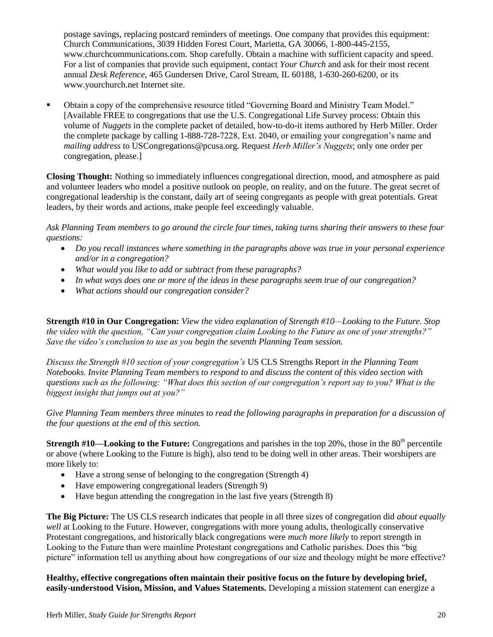postage savings, replacing postcard reminders of meetings. One company that provides this equipment: Church Communications, 3039 Hidden Forest Court, Marietta, GA 30066, 1-800-445-2155, www.churchcommunications.com. Shop carefully. Obtain a machine with sufficient capacity and speed. For a list of companies that provide such equipment, contact *Your Church* and ask for their most recent annual *Desk Reference*, 465 Gundersen Drive, Carol Stream, IL 60188, 1-630-260-6200, or its [www.yourchurch.net](http://www.yourchurch.net/) Internet site.

 Obtain a copy of the comprehensive resource titled "Governing Board and Ministry Team Model." [Available FREE to congregations that use the U.S. Congregational Life Survey process: Obtain this volume of *Nuggets* in the complete packet of detailed, how-to-do-it items authored by Herb Miller. Order the complete package by calling 1-888-728-7228, Ext. 2040, or emailing your congregation's name and *mailing address* to [USCongregations@pcusa.org.](mailto:USCongregations@ctr.pcusa.org) Request *Herb Miller's Nuggets*; only one order per congregation, please.]

**Closing Thought:** Nothing so immediately influences congregational direction, mood, and atmosphere as paid and volunteer leaders who model a positive outlook on people, on reality, and on the future. The great secret of congregational leadership is the constant, daily art of seeing congregants as people with great potentials. Great leaders, by their words and actions, make people feel exceedingly valuable.

*Ask Planning Team members to go around the circle four times, taking turns sharing their answers to these four questions:*

- *Do you recall instances where something in the paragraphs above was true in your personal experience and/or in a congregation?*
- *What would you like to add or subtract from these paragraphs?*
- *In what ways does one or more of the ideas in these paragraphs seem true of our congregation?*
- *What actions should our congregation consider?*

**Strength #10 in Our Congregation:** *View the video explanation of Strength #10—Looking to the Future. Stop the video with the question, "Can your congregation claim Looking to the Future as one of your strengths?" Save the video's conclusion to use as you begin the seventh Planning Team session.*

*Discuss the Strength #10 section of your congregation's* US CLS Strengths Report *in the Planning Team Notebooks. Invite Planning Team members to respond to and discuss the content of this video section with questions such as the following: "What does this section of our congregation's report say to you? What is the biggest insight that jumps out at you?"* 

Give Planning Team members three minutes to read the following paragraphs in preparation for a discussion of *the four questions at the end of this section.*

**Strength #10—Looking to the Future:** Congregations and parishes in the top 20%, those in the 80<sup>th</sup> percentile or above (where Looking to the Future is high), also tend to be doing well in other areas. Their worshipers are more likely to:

- Have a strong sense of belonging to the congregation (Strength 4)
- Have empowering congregational leaders (Strength 9)
- Have begun attending the congregation in the last five years (Strength 8)

**The Big Picture:** The US CLS research indicates that people in all three sizes of congregation did *about equally well* at Looking to the Future. However, congregations with more young adults, theologically conservative Protestant congregations, and historically black congregations were *much more likely* to report strength in Looking to the Future than were mainline Protestant congregations and Catholic parishes. Does this "big picture" information tell us anything about how congregations of our size and theology might be more effective?

**Healthy, effective congregations often maintain their positive focus on the future by developing brief, easily-understood Vision, Mission, and Values Statements.** Developing a mission statement can energize a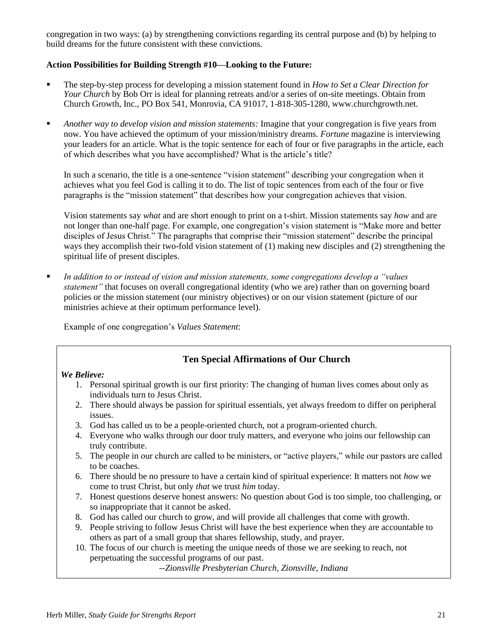congregation in two ways: (a) by strengthening convictions regarding its central purpose and (b) by helping to build dreams for the future consistent with these convictions.

# **Action Possibilities for Building Strength #10—Looking to the Future:**

- The step-by-step process for developing a mission statement found in *How to Set a Clear Direction for Your Church* by Bob Orr is ideal for planning retreats and/or a series of on-site meetings. Obtain from Church Growth, Inc., PO Box 541, Monrovia, CA 91017, 1-818-305-1280, www.churchgrowth.net.
- *Another way to develop vision and mission statements:* Imagine that your congregation is five years from now. You have achieved the optimum of your mission/ministry dreams. *Fortune* magazine is interviewing your leaders for an article. What is the topic sentence for each of four or five paragraphs in the article, each of which describes what you have accomplished? What is the article's title?

In such a scenario, the title is a one-sentence "vision statement" describing your congregation when it achieves what you feel God is calling it to do. The list of topic sentences from each of the four or five paragraphs is the "mission statement" that describes how your congregation achieves that vision.

Vision statements say *what* and are short enough to print on a t-shirt. Mission statements say *how* and are not longer than one-half page. For example, one congregation's vision statement is "Make more and better disciples of Jesus Christ." The paragraphs that comprise their "mission statement" describe the principal ways they accomplish their two-fold vision statement of (1) making new disciples and (2) strengthening the spiritual life of present disciples.

 *In addition to or instead of vision and mission statements, some congregations develop a "values statement"* that focuses on overall congregational identity (who we are) rather than on governing board policies or the mission statement (our ministry objectives) or on our vision statement (picture of our ministries achieve at their optimum performance level).

Example of one congregation's *Values Statement*:

# **Ten Special Affirmations of Our Church**

#### *We Believe:*

- 1. Personal spiritual growth is our first priority: The changing of human lives comes about only as individuals turn to Jesus Christ.
- 2. There should always be passion for spiritual essentials, yet always freedom to differ on peripheral issues.
- 3. God has called us to be a people-oriented church, not a program-oriented church.
- 4. Everyone who walks through our door truly matters, and everyone who joins our fellowship can truly contribute.
- 5. The people in our church are called to be ministers, or "active players," while our pastors are called to be coaches.
- 6. There should be no pressure to have a certain kind of spiritual experience: It matters not *how* we come to trust Christ, but only *that* we trust *him* today.
- 7. Honest questions deserve honest answers: No question about God is too simple, too challenging, or so inappropriate that it cannot be asked.
- 8. God has called our church to grow, and will provide all challenges that come with growth.
- 9. People striving to follow Jesus Christ will have the best experience when they are accountable to others as part of a small group that shares fellowship, study, and prayer.
- 10. The focus of our church is meeting the unique needs of those we are seeking to reach, not perpetuating the successful programs of our past.

*--Zionsville Presbyterian Church, Zionsville, Indiana*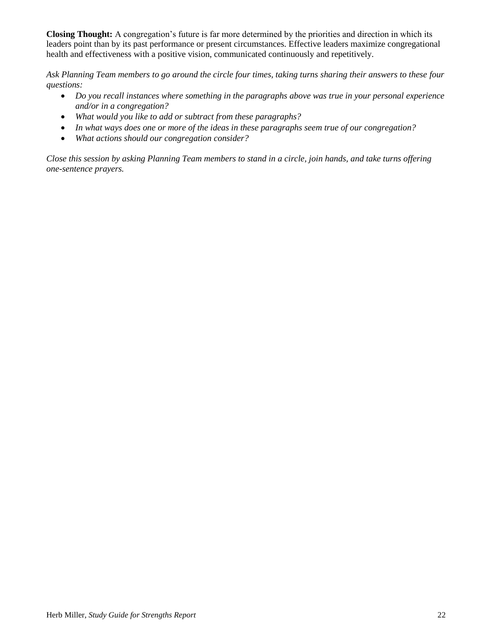**Closing Thought:** A congregation's future is far more determined by the priorities and direction in which its leaders point than by its past performance or present circumstances. Effective leaders maximize congregational health and effectiveness with a positive vision, communicated continuously and repetitively.

*Ask Planning Team members to go around the circle four times, taking turns sharing their answers to these four questions:*

- *Do you recall instances where something in the paragraphs above was true in your personal experience and/or in a congregation?*
- *What would you like to add or subtract from these paragraphs?*
- *In what ways does one or more of the ideas in these paragraphs seem true of our congregation?*
- *What actions should our congregation consider?*